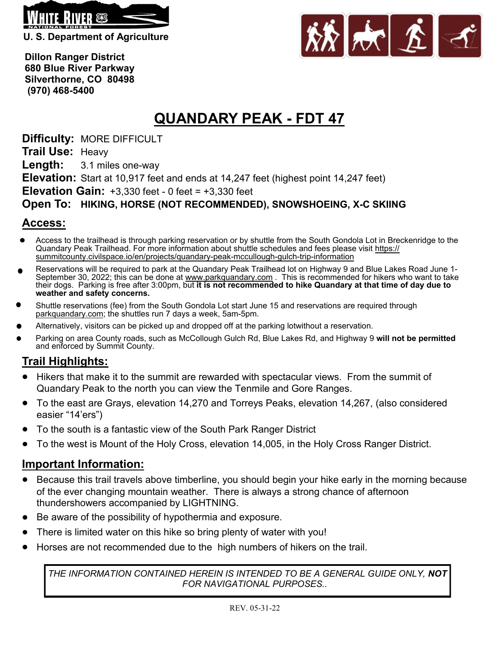

**U. S. Department of Agriculture** 



 **Dillon Ranger District 680 Blue River Parkway Silverthorne, CO 80498 (970) 468-5400**

# **QUANDARY PEAK - FDT 47**

**Difficulty:** MORE DIFFICULT

**Trail Use:** Heavy

**Length:** 3.1 miles one-way

**Elevation:** Start at 10,917 feet and ends at 14,247 feet (highest point 14,247 feet)

**Elevation Gain:** +3,330 feet - 0 feet = +3,330 feet

#### **Open To: HIKING, HORSE (NOT RECOMMENDED), SNOWSHOEING, X-C SKIING**

### **Access:**

- Access to the trailhead is through parking reservation or by shuttle from the South Gondola Lot in Breckenridge to the Quandary Peak Trailhead. For more information about shuttle schedules and fees please visit https:// summitcounty.civilspace.io/en/projects/quandary-peak-mccullough-gulch-trip-information
- Reservations will be required to park at the Quandary Peak Trailhead lot on Highway 9 and Blue Lakes Road June 1- September 30, 2022; this can be done at www.parkquandary.com . This is recommended for hikers who want to take their dogs. Parking is free after 3:00pm, but **it is not recommended to hike Quandary at that time of day due to weather and safety concerns.**
- Shuttle reservations (fee) from the South Gondola Lot start June 15 and reservations are required through parkquandary.com; the shuttles run 7 days a week, 5am-5pm.
- Alternatively, visitors can be picked up and dropped off at the parking lotwithout a reservation.
- Parking on area County roads, such as McCollough Gulch Rd, Blue Lakes Rd, and Highway 9 **will not be permitted** and enforced by Summit County.

## **Trail Highlights:**

- Hikers that make it to the summit are rewarded with spectacular views. From the summit of  $\bullet$ Quandary Peak to the north you can view the Tenmile and Gore Ranges.
- To the east are Grays, elevation 14,270 and Torreys Peaks, elevation 14,267, (also considered easier "14'ers")
- To the south is a fantastic view of the South Park Ranger District
- To the west is Mount of the Holy Cross, elevation 14,005, in the Holy Cross Ranger District.  $\bullet$

#### **Important Information:**

- Because this trail travels above timberline, you should begin your hike early in the morning because of the ever changing mountain weather. There is always a strong chance of afternoon thundershowers accompanied by LIGHTNING.
- Be aware of the possibility of hypothermia and exposure.
- There is limited water on this hike so bring plenty of water with you!  $\bullet$
- Horses are not recommended due to the high numbers of hikers on the trail.  $\bullet$

*THE INFORMATION CONTAINED HEREIN IS INTENDED TO BE A GENERAL GUIDE ONLY, NOT FOR NAVIGATIONAL PURPOSES..*